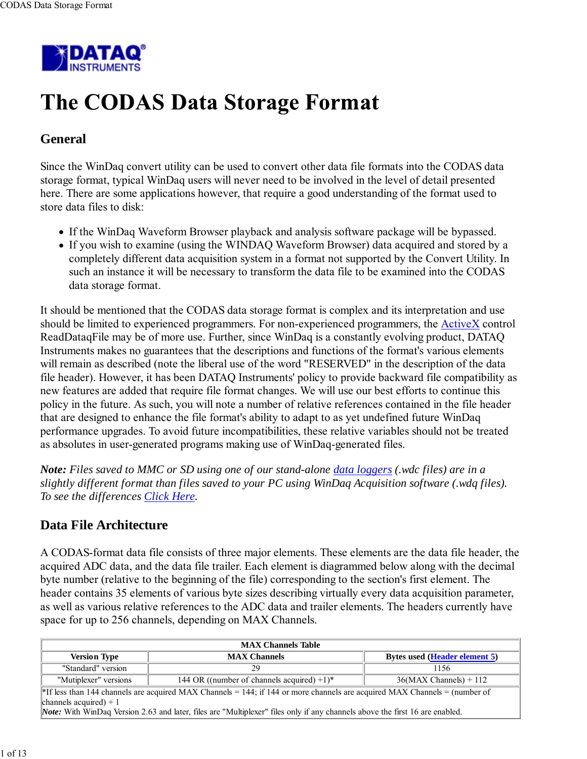

# The CODAS Data Storage Format

### **General**

Since the WinDaq convert utility can be used to convert other data file formats into the CODAS data storage format, typical WinDaq users will never need to be involved in the level of detail presented here. There are some applications however, that require a good understanding of the format used to store data files to disk:

- If the WinDaq Waveform Browser playback and analysis software package will be bypassed.
- If you wish to examine (using the WINDAQ Waveform Browser) data acquired and stored by a completely different data acquisition system in a format not supported by the Convert Utility. In such an instance it will be necessary to transform the data file to be examined into the CODAS data storage format.

It should be mentioned that the CODAS data storage format is complex and its interpretation and use should be limited to experienced programmers. For non-experienced programmers, the ActiveX control ReadDataqFile may be of more use. Further, since WinDaq is a constantly evolving product, DATAQ Instruments makes no guarantees that the descriptions and functions of the format's various elements will remain as described (note the liberal use of the word "RESERVED" in the description of the data file header). However, it has been DATAQ Instruments' policy to provide backward file compatibility as new features are added that require file format changes. We will use our best efforts to continue this policy in the future. As such, you will note a number of relative references contained in the file header that are designed to enhance the file format's ability to adapt to as yet undefined future WinDaq performance upgrades. To avoid future incompatibilities, these relative variables should not be treated as absolutes in user-generated programs making use of WinDaq-generated files.

*Note: Files saved to MMC or SD using one of our stand-alone data loggers (.wdc files) are in a slightly different format than files saved to your PC using WinDaq Acquisition software (.wdq files). To see the differences Click Here.*

### **Data File Architecture**

A CODAS-format data file consists of three major elements. These elements are the data file header, the acquired ADC data, and the data file trailer. Each element is diagrammed below along with the decimal byte number (relative to the beginning of the file) corresponding to the section's first element. The header contains 35 elements of various byte sizes describing virtually every data acquisition parameter, as well as various relative references to the ADC data and trailer elements. The headers currently have space for up to 256 channels, depending on MAX Channels.

| <b>MAX Channels Table</b>                                                   |                                                                                                                                        |                          |  |  |  |  |  |  |  |  |
|-----------------------------------------------------------------------------|----------------------------------------------------------------------------------------------------------------------------------------|--------------------------|--|--|--|--|--|--|--|--|
| <b>Version Type</b><br><b>MAX Channels</b><br>Bytes used (Header element 5) |                                                                                                                                        |                          |  |  |  |  |  |  |  |  |
| "Standard" version                                                          | 29<br>1156                                                                                                                             |                          |  |  |  |  |  |  |  |  |
| "Mutiplexer" versions                                                       | 144 OR ((number of channels acquired) $+1$ )*                                                                                          | $36(MAX Channels) + 112$ |  |  |  |  |  |  |  |  |
|                                                                             | <sup>*</sup> If less than 144 channels are acquired MAX Channels = 144; if 144 or more channels are acquired MAX Channels = (number of |                          |  |  |  |  |  |  |  |  |
| channels acquired) $+1$                                                     |                                                                                                                                        |                          |  |  |  |  |  |  |  |  |
|                                                                             | Note: With WinDaq Version 2.63 and later, files are "Multiplexer" files only if any channels above the first 16 are enabled.           |                          |  |  |  |  |  |  |  |  |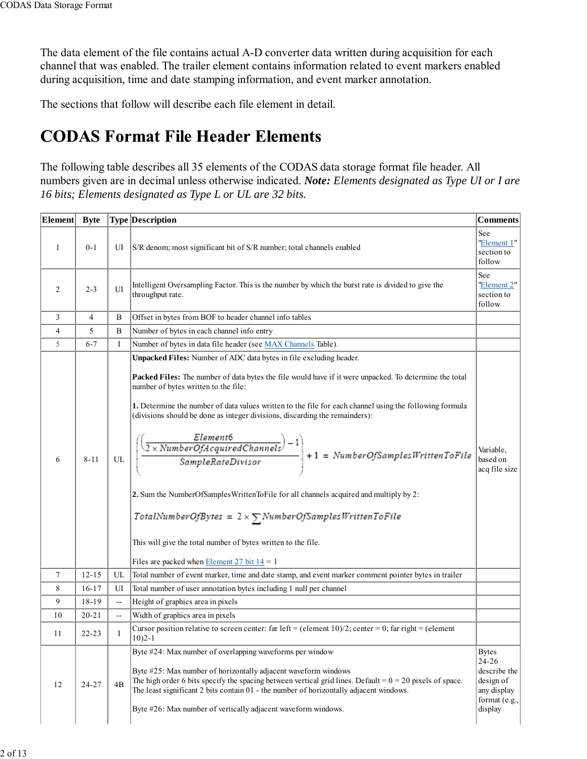The data element of the file contains actual A-D converter data written during acquisition for each channel that was enabled. The trailer element contains information related to event markers enabled during acquisition, time and date stamping information, and event marker annotation.

The sections that follow will describe each file element in detail.

### **CODAS Format File Header Elements**

The following table describes all 35 elements of the CODAS data storage format file header. All numbers given are in decimal unless otherwise indicated. *Note: Elements designated as Type UI or I are 16 bits; Elements designated as Type L or UL are 32 bits.*

| Element | <b>Byte</b> |                          | <b>Type Description</b>                                                                                                                                                                                                                                                                                                                                                                                                                                                                                                                                                                                                                                                                                                                                                                                                                                                      | <b>Comments</b>                                                                               |
|---------|-------------|--------------------------|------------------------------------------------------------------------------------------------------------------------------------------------------------------------------------------------------------------------------------------------------------------------------------------------------------------------------------------------------------------------------------------------------------------------------------------------------------------------------------------------------------------------------------------------------------------------------------------------------------------------------------------------------------------------------------------------------------------------------------------------------------------------------------------------------------------------------------------------------------------------------|-----------------------------------------------------------------------------------------------|
| 1       | $0 - 1$     | UI                       | S/R denom; most significant bit of S/R number; total channels enabled                                                                                                                                                                                                                                                                                                                                                                                                                                                                                                                                                                                                                                                                                                                                                                                                        | See<br>"Element 1"<br>section to<br>follow                                                    |
| 2       | $2 - 3$     | UI                       | Intelligent Oversampling Factor. This is the number by which the burst rate is divided to give the<br>throughput rate.                                                                                                                                                                                                                                                                                                                                                                                                                                                                                                                                                                                                                                                                                                                                                       | See<br>"Element 2"<br>section to<br>follow                                                    |
| 3       | 4           | B                        | Offset in bytes from BOF to header channel info tables                                                                                                                                                                                                                                                                                                                                                                                                                                                                                                                                                                                                                                                                                                                                                                                                                       |                                                                                               |
| 4       | 5           | B                        | Number of bytes in each channel info entry                                                                                                                                                                                                                                                                                                                                                                                                                                                                                                                                                                                                                                                                                                                                                                                                                                   |                                                                                               |
| 5       | $6 - 7$     | Ι                        | Number of bytes in data file header (see MAX Channels Table).                                                                                                                                                                                                                                                                                                                                                                                                                                                                                                                                                                                                                                                                                                                                                                                                                |                                                                                               |
| 6       | $8 - 11$    | UL                       | Unpacked Files: Number of ADC data bytes in file excluding header.<br>Packed Files: The number of data bytes the file would have if it were unpacked. To determine the total<br>number of bytes written to the file:<br>1. Determine the number of data values written to the file for each channel using the following formula<br>(divisions should be done as integer divisions, discarding the remainders):<br>$\frac{\left(\frac{Element6}{2 \times NumberOfAcquired Channels}\right) - 1}{SampleRateDivision} + 1 = NumberOf Samples Written To File$<br>2. Sum the NumberOfSamples Written To File for all channels acquired and multiply by 2:<br>$\label{eq:totalNumberOfBytes} Total NumberOfBytes = 2 \times \sum NumberOfSamplesWriten To File$<br>This will give the total number of bytes written to the file.<br>Files are packed when Element 27 bit $14 = 1$ | Variable.<br>based on<br>acq file size                                                        |
| 7       | $12 - 15$   | $_{\rm UL}$              | Total number of event marker, time and date stamp, and event marker comment pointer bytes in trailer                                                                                                                                                                                                                                                                                                                                                                                                                                                                                                                                                                                                                                                                                                                                                                         |                                                                                               |
| 8       | $16 - 17$   | UI                       | Total number of user annotation bytes including 1 null per channel                                                                                                                                                                                                                                                                                                                                                                                                                                                                                                                                                                                                                                                                                                                                                                                                           |                                                                                               |
| 9       | 18-19       | $\omega$ .               | Height of graphics area in pixels                                                                                                                                                                                                                                                                                                                                                                                                                                                                                                                                                                                                                                                                                                                                                                                                                                            |                                                                                               |
| 10      | $20 - 21$   | $\overline{\phantom{a}}$ | Width of graphics area in pixels                                                                                                                                                                                                                                                                                                                                                                                                                                                                                                                                                                                                                                                                                                                                                                                                                                             |                                                                                               |
| 11      | 22-23       | I                        | Cursor position relative to screen center: far left = (element $10/2$ ; center = 0; far right = (element<br>$10)2 - 1$                                                                                                                                                                                                                                                                                                                                                                                                                                                                                                                                                                                                                                                                                                                                                       |                                                                                               |
| 12      | 24-27       | 4B                       | Byte #24: Max number of overlapping waveforms per window<br>Byte #25: Max number of horizontally adjacent waveform windows<br>The high order 6 bits specify the spacing between vertical grid lines. Default $= 0 = 20$ pixels of space.<br>The least significant 2 bits contain 01 - the number of horizontally adjacent windows.<br>Byte #26: Max number of vertically adjacent waveform windows.                                                                                                                                                                                                                                                                                                                                                                                                                                                                          | <b>Bytes</b><br>24-26<br>describe the<br>design of<br>any display<br>format (e.g.,<br>display |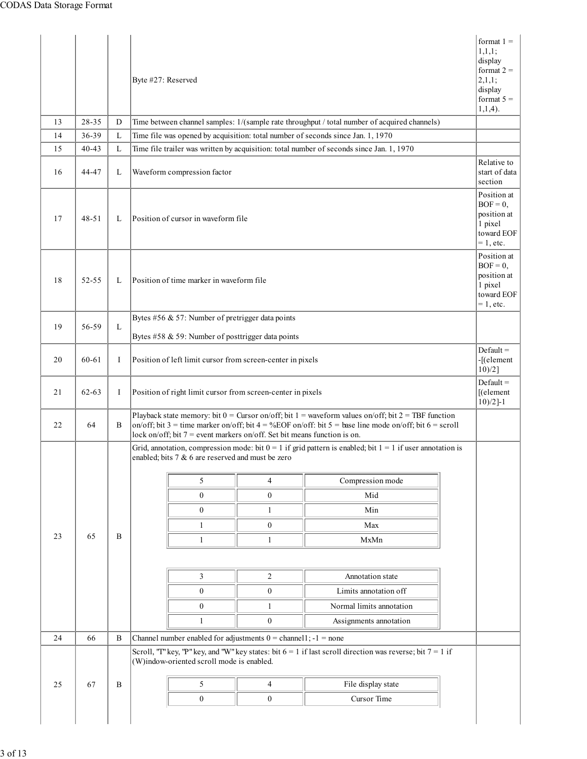|    |           |    | Byte #27: Reserved                                                                                                                                                                                                                                                                               |                  |                                                                                                               | format $1 =$<br>1,1,1;<br>display<br>format $2 =$<br>2,1,1;<br>display<br>format $5 =$<br>$1,1,4$ ). |
|----|-----------|----|--------------------------------------------------------------------------------------------------------------------------------------------------------------------------------------------------------------------------------------------------------------------------------------------------|------------------|---------------------------------------------------------------------------------------------------------------|------------------------------------------------------------------------------------------------------|
| 13 | 28-35     | D  | Time between channel samples: 1/(sample rate throughput / total number of acquired channels)                                                                                                                                                                                                     |                  |                                                                                                               |                                                                                                      |
| 14 | 36-39     | L  | Time file was opened by acquisition: total number of seconds since Jan. 1, 1970                                                                                                                                                                                                                  |                  |                                                                                                               |                                                                                                      |
| 15 | $40 - 43$ | L  | Time file trailer was written by acquisition: total number of seconds since Jan. 1, 1970                                                                                                                                                                                                         |                  |                                                                                                               |                                                                                                      |
| 16 | 44-47     | L  | Waveform compression factor                                                                                                                                                                                                                                                                      |                  |                                                                                                               | Relative to<br>start of data<br>section                                                              |
| 17 | $48 - 51$ | L  | Position of cursor in waveform file                                                                                                                                                                                                                                                              |                  |                                                                                                               | Position at<br>$BOF = 0$ ,<br>position at<br>1 pixel<br>toward EOF<br>$= 1$ , etc.                   |
| 18 | 52-55     | L  | Position of time marker in waveform file                                                                                                                                                                                                                                                         |                  |                                                                                                               | Position at<br>$BOF = 0$ ,<br>position at<br>1 pixel<br>toward EOF<br>$= 1$ , etc.                   |
| 19 | 56-59     | L  | Bytes #56 & 57: Number of pretrigger data points<br>Bytes #58 & 59: Number of posttrigger data points                                                                                                                                                                                            |                  |                                                                                                               |                                                                                                      |
| 20 | 60-61     | I  | Position of left limit cursor from screen-center in pixels                                                                                                                                                                                                                                       |                  |                                                                                                               | $Default =$<br>-[(element<br>$10)/2$ ]                                                               |
| 21 | $62 - 63$ | Ι. | Position of right limit cursor from screen-center in pixels                                                                                                                                                                                                                                      |                  |                                                                                                               | $Default =$<br>$[$ (element<br>$10)/2$ ]-1                                                           |
| 22 | 64        | B  | Playback state memory: bit $0 =$ Cursor on/off; bit $1 =$ waveform values on/off; bit $2 =$ TBF function<br>on/off; bit 3 = time marker on/off; bit 4 = %EOF on/off: bit 5 = base line mode on/off; bit 6 = scroll<br>lock on/off; bit $7$ = event markers on/off. Set bit means function is on. |                  |                                                                                                               |                                                                                                      |
|    |           |    | enabled; bits 7 & 6 are reserved and must be zero                                                                                                                                                                                                                                                |                  | Grid, annotation, compression mode: bit $0 = 1$ if grid pattern is enabled; bit $1 = 1$ if user annotation is |                                                                                                      |
|    |           |    | 5                                                                                                                                                                                                                                                                                                | 4                | Compression mode                                                                                              |                                                                                                      |
|    |           |    | $\mathbf{0}$                                                                                                                                                                                                                                                                                     |                  |                                                                                                               |                                                                                                      |
|    |           |    |                                                                                                                                                                                                                                                                                                  | $\mathbf{0}$     | Mid                                                                                                           |                                                                                                      |
|    |           |    | $\boldsymbol{0}$                                                                                                                                                                                                                                                                                 | 1                | Min                                                                                                           |                                                                                                      |
|    |           |    | $\mathbf{1}$                                                                                                                                                                                                                                                                                     | $\boldsymbol{0}$ | Max                                                                                                           |                                                                                                      |
| 23 | 65        | B  | $\mathbf{1}$                                                                                                                                                                                                                                                                                     | $\mathbf{1}$     | MxMn                                                                                                          |                                                                                                      |
|    |           |    |                                                                                                                                                                                                                                                                                                  |                  |                                                                                                               |                                                                                                      |
|    |           |    | 3                                                                                                                                                                                                                                                                                                | 2                | Annotation state                                                                                              |                                                                                                      |
|    |           |    | $\mathbf{0}$                                                                                                                                                                                                                                                                                     | $\boldsymbol{0}$ | Limits annotation off                                                                                         |                                                                                                      |
|    |           |    | $\mathbf{0}$                                                                                                                                                                                                                                                                                     | $\mathbf{1}$     | Normal limits annotation                                                                                      |                                                                                                      |
|    |           |    | -1                                                                                                                                                                                                                                                                                               | $\boldsymbol{0}$ | Assignments annotation                                                                                        |                                                                                                      |
| 24 | 66        | B  | Channel number enabled for adjustments $0 =$ channel 1; $-1 =$ none                                                                                                                                                                                                                              |                  |                                                                                                               |                                                                                                      |
|    |           |    | Scroll, "T" key, "P" key, and "W" key states: bit $6 = 1$ if last scroll direction was reverse; bit $7 = 1$ if<br>(W)indow-oriented scroll mode is enabled.                                                                                                                                      |                  |                                                                                                               |                                                                                                      |
| 25 | 67        | B  | 5                                                                                                                                                                                                                                                                                                | 4                | File display state                                                                                            |                                                                                                      |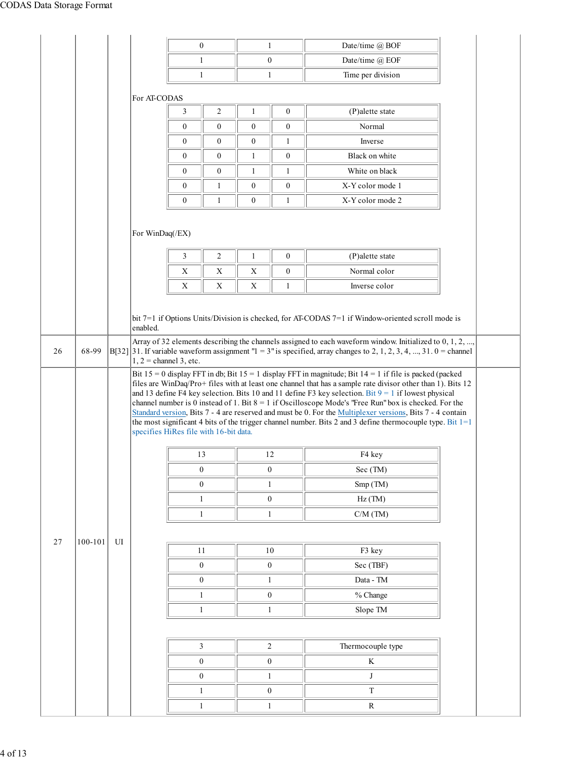|    |         |    |                          | $\overline{0}$                         |                  | $\mathbf{1}$                     |                  | Date/time @ BOF                                                                                                                                                                                                                                                                                                                                                                                                                                                   |  |  |  |  |
|----|---------|----|--------------------------|----------------------------------------|------------------|----------------------------------|------------------|-------------------------------------------------------------------------------------------------------------------------------------------------------------------------------------------------------------------------------------------------------------------------------------------------------------------------------------------------------------------------------------------------------------------------------------------------------------------|--|--|--|--|
|    |         |    |                          | 1                                      |                  | $\boldsymbol{0}$                 |                  | Date/time @ EOF                                                                                                                                                                                                                                                                                                                                                                                                                                                   |  |  |  |  |
|    |         |    |                          | $\mathbf{1}$                           |                  | $\mathbf{1}$                     |                  | Time per division                                                                                                                                                                                                                                                                                                                                                                                                                                                 |  |  |  |  |
|    |         |    | For AT-CODAS             |                                        |                  |                                  |                  |                                                                                                                                                                                                                                                                                                                                                                                                                                                                   |  |  |  |  |
|    |         |    |                          | 3                                      | $\sqrt{2}$       | 1                                | $\boldsymbol{0}$ | (P)alette state                                                                                                                                                                                                                                                                                                                                                                                                                                                   |  |  |  |  |
|    |         |    |                          | $\mathbf{0}$                           | $\mathbf{0}$     | $\boldsymbol{0}$                 | $\boldsymbol{0}$ | Normal                                                                                                                                                                                                                                                                                                                                                                                                                                                            |  |  |  |  |
|    |         |    |                          | $\bf{0}$                               | $\mathbf{0}$     | $\boldsymbol{0}$                 | $\mathbf{1}$     | Inverse                                                                                                                                                                                                                                                                                                                                                                                                                                                           |  |  |  |  |
|    |         |    |                          | $\mathbf{0}$                           | $\boldsymbol{0}$ | $\mathbf{1}$                     | $\mathbf{0}$     | Black on white                                                                                                                                                                                                                                                                                                                                                                                                                                                    |  |  |  |  |
|    |         |    |                          | $\mathbf{0}$                           | $\mathbf{0}$     | 1                                | $\mathbf{1}$     | White on black                                                                                                                                                                                                                                                                                                                                                                                                                                                    |  |  |  |  |
|    |         |    |                          | $\mathbf{0}$                           | 1                | $\boldsymbol{0}$                 | $\boldsymbol{0}$ | X-Y color mode 1                                                                                                                                                                                                                                                                                                                                                                                                                                                  |  |  |  |  |
|    |         |    |                          | $\mathbf{0}$                           | $\mathbf{1}$     | $\boldsymbol{0}$                 | $\mathbf{1}$     | X-Y color mode 2                                                                                                                                                                                                                                                                                                                                                                                                                                                  |  |  |  |  |
|    |         |    |                          |                                        |                  |                                  |                  |                                                                                                                                                                                                                                                                                                                                                                                                                                                                   |  |  |  |  |
|    |         |    | For WinDaq(/EX)          |                                        |                  |                                  |                  |                                                                                                                                                                                                                                                                                                                                                                                                                                                                   |  |  |  |  |
|    |         |    |                          | 3                                      | $\sqrt{2}$       | 1                                | $\boldsymbol{0}$ | (P)alette state                                                                                                                                                                                                                                                                                                                                                                                                                                                   |  |  |  |  |
|    |         |    |                          | $\mathbf X$                            | $\mathbf X$      | $\mathbf X$                      | $\boldsymbol{0}$ | Normal color                                                                                                                                                                                                                                                                                                                                                                                                                                                      |  |  |  |  |
|    |         |    |                          | X                                      | $\mathbf X$      | X                                | $\mathbf{1}$     | Inverse color                                                                                                                                                                                                                                                                                                                                                                                                                                                     |  |  |  |  |
|    |         |    |                          |                                        |                  |                                  |                  |                                                                                                                                                                                                                                                                                                                                                                                                                                                                   |  |  |  |  |
|    |         |    | enabled.                 |                                        |                  |                                  |                  | bit 7=1 if Options Units/Division is checked, for AT-CODAS 7=1 if Window-oriented scroll mode is                                                                                                                                                                                                                                                                                                                                                                  |  |  |  |  |
|    |         |    |                          |                                        |                  |                                  |                  | Array of 32 elements describing the channels assigned to each waveform window. Initialized to 0, 1, 2, ,                                                                                                                                                                                                                                                                                                                                                          |  |  |  |  |
|    |         |    |                          |                                        |                  |                                  |                  |                                                                                                                                                                                                                                                                                                                                                                                                                                                                   |  |  |  |  |
| 26 | 68-99   |    | $1, 2$ = channel 3, etc. |                                        |                  |                                  |                  | $B[32]$ 31. If variable waveform assignment " $1 = 3$ " is specified, array changes to 2, 1, 2, 3, 4, , 31. 0 = channel<br>Bit $15 = 0$ display FFT in db; Bit $15 = 1$ display FFT in magnitude; Bit $14 = 1$ if file is packed (packed<br>files are WinDaq/Pro+ files with at least one channel that has a sample rate divisor other than 1). Bits 12<br>and 13 define F4 key selection. Bits 10 and 11 define F3 key selection. Bit $9 = 1$ if lowest physical |  |  |  |  |
|    |         |    |                          | specifies HiRes file with 16-bit data. |                  |                                  |                  | channel number is 0 instead of 1. Bit $8 = 1$ if Oscilloscope Mode's "Free Run" box is checked. For the<br>Standard version, Bits 7 - 4 are reserved and must be 0. For the Multiplexer versions, Bits 7 - 4 contain<br>the most significant 4 bits of the trigger channel number. Bits 2 and 3 define thermocouple type. Bit $1=1$                                                                                                                               |  |  |  |  |
|    |         |    |                          |                                        |                  |                                  |                  |                                                                                                                                                                                                                                                                                                                                                                                                                                                                   |  |  |  |  |
|    |         |    |                          | 13                                     |                  | 12                               |                  | F4 key                                                                                                                                                                                                                                                                                                                                                                                                                                                            |  |  |  |  |
|    |         |    |                          | $\boldsymbol{0}$                       |                  | $\boldsymbol{0}$                 |                  | Sec (TM)                                                                                                                                                                                                                                                                                                                                                                                                                                                          |  |  |  |  |
|    |         |    |                          | $\boldsymbol{0}$                       |                  | $\mathbf{1}$                     |                  | Smp (TM)                                                                                                                                                                                                                                                                                                                                                                                                                                                          |  |  |  |  |
|    |         |    |                          | $\mathbf{1}$<br>$\mathbf{1}$           |                  | $\boldsymbol{0}$<br>$\mathbf{1}$ |                  | $Hz$ (TM)                                                                                                                                                                                                                                                                                                                                                                                                                                                         |  |  |  |  |
|    |         |    |                          |                                        |                  |                                  |                  | $C/M$ (TM)                                                                                                                                                                                                                                                                                                                                                                                                                                                        |  |  |  |  |
| 27 | 100-101 | UI |                          |                                        |                  |                                  |                  |                                                                                                                                                                                                                                                                                                                                                                                                                                                                   |  |  |  |  |
|    |         |    |                          | 11                                     |                  | 10                               |                  | F3 key                                                                                                                                                                                                                                                                                                                                                                                                                                                            |  |  |  |  |
|    |         |    |                          | $\boldsymbol{0}$                       |                  | $\boldsymbol{0}$                 |                  | Sec (TBF)                                                                                                                                                                                                                                                                                                                                                                                                                                                         |  |  |  |  |
|    |         |    |                          | $\boldsymbol{0}$                       |                  | $\mathbf{1}$                     |                  | $\mathbf{Data}$ - $\mathbf{TM}$                                                                                                                                                                                                                                                                                                                                                                                                                                   |  |  |  |  |
|    |         |    |                          | $\mathbf{1}$                           |                  | $\boldsymbol{0}$                 |                  | % Change                                                                                                                                                                                                                                                                                                                                                                                                                                                          |  |  |  |  |
|    |         |    |                          | $\mathbf{1}$                           |                  | $\mathbf{1}$                     |                  | Slope TM                                                                                                                                                                                                                                                                                                                                                                                                                                                          |  |  |  |  |
|    |         |    |                          | $\mathfrak{Z}$                         |                  | $\sqrt{2}$                       |                  | Thermocouple type                                                                                                                                                                                                                                                                                                                                                                                                                                                 |  |  |  |  |
|    |         |    |                          | $\boldsymbol{0}$                       |                  | $\boldsymbol{0}$                 |                  | K                                                                                                                                                                                                                                                                                                                                                                                                                                                                 |  |  |  |  |
|    |         |    |                          | $\boldsymbol{0}$                       |                  | $\mathbf{1}$                     |                  | J                                                                                                                                                                                                                                                                                                                                                                                                                                                                 |  |  |  |  |
|    |         |    |                          | $\mathbf{1}$                           |                  | $\boldsymbol{0}$                 |                  | $\rm T$                                                                                                                                                                                                                                                                                                                                                                                                                                                           |  |  |  |  |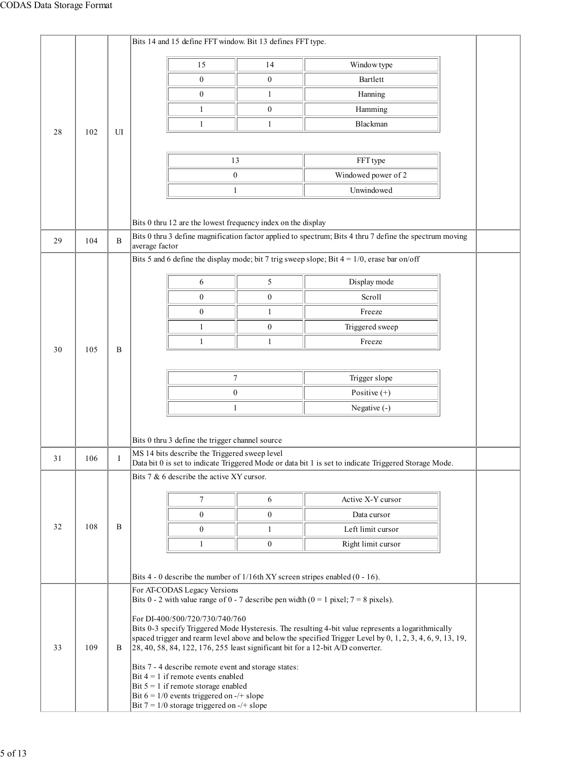| 102 | UI  |   |                                                |                                                                                                                                                                  |                                                                                                                                                                                                                                                                                                                                                                                                                                                                                                                                                                                                                                                                                                               |                                                                                                                                                                                                                                                                                                                                                                                                                                                                                                                                                                                                                                                                                                                                                                                                                                                                                                                                                                                                                                                                                                                                                                                                                  |  |  |  |
|-----|-----|---|------------------------------------------------|------------------------------------------------------------------------------------------------------------------------------------------------------------------|---------------------------------------------------------------------------------------------------------------------------------------------------------------------------------------------------------------------------------------------------------------------------------------------------------------------------------------------------------------------------------------------------------------------------------------------------------------------------------------------------------------------------------------------------------------------------------------------------------------------------------------------------------------------------------------------------------------|------------------------------------------------------------------------------------------------------------------------------------------------------------------------------------------------------------------------------------------------------------------------------------------------------------------------------------------------------------------------------------------------------------------------------------------------------------------------------------------------------------------------------------------------------------------------------------------------------------------------------------------------------------------------------------------------------------------------------------------------------------------------------------------------------------------------------------------------------------------------------------------------------------------------------------------------------------------------------------------------------------------------------------------------------------------------------------------------------------------------------------------------------------------------------------------------------------------|--|--|--|
|     |     |   |                                                |                                                                                                                                                                  |                                                                                                                                                                                                                                                                                                                                                                                                                                                                                                                                                                                                                                                                                                               |                                                                                                                                                                                                                                                                                                                                                                                                                                                                                                                                                                                                                                                                                                                                                                                                                                                                                                                                                                                                                                                                                                                                                                                                                  |  |  |  |
|     |     |   |                                                |                                                                                                                                                                  | FFT type                                                                                                                                                                                                                                                                                                                                                                                                                                                                                                                                                                                                                                                                                                      |                                                                                                                                                                                                                                                                                                                                                                                                                                                                                                                                                                                                                                                                                                                                                                                                                                                                                                                                                                                                                                                                                                                                                                                                                  |  |  |  |
|     |     |   |                                                |                                                                                                                                                                  | Windowed power of 2                                                                                                                                                                                                                                                                                                                                                                                                                                                                                                                                                                                                                                                                                           |                                                                                                                                                                                                                                                                                                                                                                                                                                                                                                                                                                                                                                                                                                                                                                                                                                                                                                                                                                                                                                                                                                                                                                                                                  |  |  |  |
|     |     |   |                                                |                                                                                                                                                                  | Unwindowed                                                                                                                                                                                                                                                                                                                                                                                                                                                                                                                                                                                                                                                                                                    |                                                                                                                                                                                                                                                                                                                                                                                                                                                                                                                                                                                                                                                                                                                                                                                                                                                                                                                                                                                                                                                                                                                                                                                                                  |  |  |  |
|     |     |   |                                                |                                                                                                                                                                  |                                                                                                                                                                                                                                                                                                                                                                                                                                                                                                                                                                                                                                                                                                               |                                                                                                                                                                                                                                                                                                                                                                                                                                                                                                                                                                                                                                                                                                                                                                                                                                                                                                                                                                                                                                                                                                                                                                                                                  |  |  |  |
|     |     |   |                                                |                                                                                                                                                                  |                                                                                                                                                                                                                                                                                                                                                                                                                                                                                                                                                                                                                                                                                                               |                                                                                                                                                                                                                                                                                                                                                                                                                                                                                                                                                                                                                                                                                                                                                                                                                                                                                                                                                                                                                                                                                                                                                                                                                  |  |  |  |
| 104 | B   |   |                                                |                                                                                                                                                                  |                                                                                                                                                                                                                                                                                                                                                                                                                                                                                                                                                                                                                                                                                                               |                                                                                                                                                                                                                                                                                                                                                                                                                                                                                                                                                                                                                                                                                                                                                                                                                                                                                                                                                                                                                                                                                                                                                                                                                  |  |  |  |
|     |     |   |                                                |                                                                                                                                                                  |                                                                                                                                                                                                                                                                                                                                                                                                                                                                                                                                                                                                                                                                                                               |                                                                                                                                                                                                                                                                                                                                                                                                                                                                                                                                                                                                                                                                                                                                                                                                                                                                                                                                                                                                                                                                                                                                                                                                                  |  |  |  |
|     |     |   |                                                |                                                                                                                                                                  |                                                                                                                                                                                                                                                                                                                                                                                                                                                                                                                                                                                                                                                                                                               |                                                                                                                                                                                                                                                                                                                                                                                                                                                                                                                                                                                                                                                                                                                                                                                                                                                                                                                                                                                                                                                                                                                                                                                                                  |  |  |  |
|     |     |   |                                                |                                                                                                                                                                  |                                                                                                                                                                                                                                                                                                                                                                                                                                                                                                                                                                                                                                                                                                               |                                                                                                                                                                                                                                                                                                                                                                                                                                                                                                                                                                                                                                                                                                                                                                                                                                                                                                                                                                                                                                                                                                                                                                                                                  |  |  |  |
|     |     |   |                                                |                                                                                                                                                                  |                                                                                                                                                                                                                                                                                                                                                                                                                                                                                                                                                                                                                                                                                                               |                                                                                                                                                                                                                                                                                                                                                                                                                                                                                                                                                                                                                                                                                                                                                                                                                                                                                                                                                                                                                                                                                                                                                                                                                  |  |  |  |
|     |     |   |                                                |                                                                                                                                                                  |                                                                                                                                                                                                                                                                                                                                                                                                                                                                                                                                                                                                                                                                                                               |                                                                                                                                                                                                                                                                                                                                                                                                                                                                                                                                                                                                                                                                                                                                                                                                                                                                                                                                                                                                                                                                                                                                                                                                                  |  |  |  |
|     |     |   | 1                                              |                                                                                                                                                                  |                                                                                                                                                                                                                                                                                                                                                                                                                                                                                                                                                                                                                                                                                                               |                                                                                                                                                                                                                                                                                                                                                                                                                                                                                                                                                                                                                                                                                                                                                                                                                                                                                                                                                                                                                                                                                                                                                                                                                  |  |  |  |
| 105 | B   |   |                                                |                                                                                                                                                                  |                                                                                                                                                                                                                                                                                                                                                                                                                                                                                                                                                                                                                                                                                                               |                                                                                                                                                                                                                                                                                                                                                                                                                                                                                                                                                                                                                                                                                                                                                                                                                                                                                                                                                                                                                                                                                                                                                                                                                  |  |  |  |
|     |     |   |                                                |                                                                                                                                                                  |                                                                                                                                                                                                                                                                                                                                                                                                                                                                                                                                                                                                                                                                                                               |                                                                                                                                                                                                                                                                                                                                                                                                                                                                                                                                                                                                                                                                                                                                                                                                                                                                                                                                                                                                                                                                                                                                                                                                                  |  |  |  |
|     |     |   |                                                |                                                                                                                                                                  |                                                                                                                                                                                                                                                                                                                                                                                                                                                                                                                                                                                                                                                                                                               |                                                                                                                                                                                                                                                                                                                                                                                                                                                                                                                                                                                                                                                                                                                                                                                                                                                                                                                                                                                                                                                                                                                                                                                                                  |  |  |  |
|     |     |   |                                                |                                                                                                                                                                  |                                                                                                                                                                                                                                                                                                                                                                                                                                                                                                                                                                                                                                                                                                               |                                                                                                                                                                                                                                                                                                                                                                                                                                                                                                                                                                                                                                                                                                                                                                                                                                                                                                                                                                                                                                                                                                                                                                                                                  |  |  |  |
|     |     |   |                                                |                                                                                                                                                                  |                                                                                                                                                                                                                                                                                                                                                                                                                                                                                                                                                                                                                                                                                                               |                                                                                                                                                                                                                                                                                                                                                                                                                                                                                                                                                                                                                                                                                                                                                                                                                                                                                                                                                                                                                                                                                                                                                                                                                  |  |  |  |
|     |     |   |                                                |                                                                                                                                                                  |                                                                                                                                                                                                                                                                                                                                                                                                                                                                                                                                                                                                                                                                                                               |                                                                                                                                                                                                                                                                                                                                                                                                                                                                                                                                                                                                                                                                                                                                                                                                                                                                                                                                                                                                                                                                                                                                                                                                                  |  |  |  |
|     |     |   |                                                |                                                                                                                                                                  |                                                                                                                                                                                                                                                                                                                                                                                                                                                                                                                                                                                                                                                                                                               |                                                                                                                                                                                                                                                                                                                                                                                                                                                                                                                                                                                                                                                                                                                                                                                                                                                                                                                                                                                                                                                                                                                                                                                                                  |  |  |  |
| 106 | I   |   |                                                |                                                                                                                                                                  |                                                                                                                                                                                                                                                                                                                                                                                                                                                                                                                                                                                                                                                                                                               |                                                                                                                                                                                                                                                                                                                                                                                                                                                                                                                                                                                                                                                                                                                                                                                                                                                                                                                                                                                                                                                                                                                                                                                                                  |  |  |  |
|     |     |   |                                                |                                                                                                                                                                  |                                                                                                                                                                                                                                                                                                                                                                                                                                                                                                                                                                                                                                                                                                               |                                                                                                                                                                                                                                                                                                                                                                                                                                                                                                                                                                                                                                                                                                                                                                                                                                                                                                                                                                                                                                                                                                                                                                                                                  |  |  |  |
|     |     |   |                                                |                                                                                                                                                                  |                                                                                                                                                                                                                                                                                                                                                                                                                                                                                                                                                                                                                                                                                                               |                                                                                                                                                                                                                                                                                                                                                                                                                                                                                                                                                                                                                                                                                                                                                                                                                                                                                                                                                                                                                                                                                                                                                                                                                  |  |  |  |
|     |     |   |                                                |                                                                                                                                                                  |                                                                                                                                                                                                                                                                                                                                                                                                                                                                                                                                                                                                                                                                                                               |                                                                                                                                                                                                                                                                                                                                                                                                                                                                                                                                                                                                                                                                                                                                                                                                                                                                                                                                                                                                                                                                                                                                                                                                                  |  |  |  |
| 108 | B   |   |                                                |                                                                                                                                                                  |                                                                                                                                                                                                                                                                                                                                                                                                                                                                                                                                                                                                                                                                                                               |                                                                                                                                                                                                                                                                                                                                                                                                                                                                                                                                                                                                                                                                                                                                                                                                                                                                                                                                                                                                                                                                                                                                                                                                                  |  |  |  |
|     |     |   |                                                |                                                                                                                                                                  |                                                                                                                                                                                                                                                                                                                                                                                                                                                                                                                                                                                                                                                                                                               |                                                                                                                                                                                                                                                                                                                                                                                                                                                                                                                                                                                                                                                                                                                                                                                                                                                                                                                                                                                                                                                                                                                                                                                                                  |  |  |  |
|     |     |   |                                                |                                                                                                                                                                  |                                                                                                                                                                                                                                                                                                                                                                                                                                                                                                                                                                                                                                                                                                               |                                                                                                                                                                                                                                                                                                                                                                                                                                                                                                                                                                                                                                                                                                                                                                                                                                                                                                                                                                                                                                                                                                                                                                                                                  |  |  |  |
|     |     |   |                                                |                                                                                                                                                                  |                                                                                                                                                                                                                                                                                                                                                                                                                                                                                                                                                                                                                                                                                                               |                                                                                                                                                                                                                                                                                                                                                                                                                                                                                                                                                                                                                                                                                                                                                                                                                                                                                                                                                                                                                                                                                                                                                                                                                  |  |  |  |
|     |     |   |                                                |                                                                                                                                                                  |                                                                                                                                                                                                                                                                                                                                                                                                                                                                                                                                                                                                                                                                                                               |                                                                                                                                                                                                                                                                                                                                                                                                                                                                                                                                                                                                                                                                                                                                                                                                                                                                                                                                                                                                                                                                                                                                                                                                                  |  |  |  |
|     |     |   |                                                |                                                                                                                                                                  |                                                                                                                                                                                                                                                                                                                                                                                                                                                                                                                                                                                                                                                                                                               |                                                                                                                                                                                                                                                                                                                                                                                                                                                                                                                                                                                                                                                                                                                                                                                                                                                                                                                                                                                                                                                                                                                                                                                                                  |  |  |  |
|     |     |   |                                                |                                                                                                                                                                  |                                                                                                                                                                                                                                                                                                                                                                                                                                                                                                                                                                                                                                                                                                               |                                                                                                                                                                                                                                                                                                                                                                                                                                                                                                                                                                                                                                                                                                                                                                                                                                                                                                                                                                                                                                                                                                                                                                                                                  |  |  |  |
|     |     |   |                                                |                                                                                                                                                                  |                                                                                                                                                                                                                                                                                                                                                                                                                                                                                                                                                                                                                                                                                                               |                                                                                                                                                                                                                                                                                                                                                                                                                                                                                                                                                                                                                                                                                                                                                                                                                                                                                                                                                                                                                                                                                                                                                                                                                  |  |  |  |
|     |     |   |                                                |                                                                                                                                                                  |                                                                                                                                                                                                                                                                                                                                                                                                                                                                                                                                                                                                                                                                                                               |                                                                                                                                                                                                                                                                                                                                                                                                                                                                                                                                                                                                                                                                                                                                                                                                                                                                                                                                                                                                                                                                                                                                                                                                                  |  |  |  |
|     |     |   |                                                |                                                                                                                                                                  |                                                                                                                                                                                                                                                                                                                                                                                                                                                                                                                                                                                                                                                                                                               |                                                                                                                                                                                                                                                                                                                                                                                                                                                                                                                                                                                                                                                                                                                                                                                                                                                                                                                                                                                                                                                                                                                                                                                                                  |  |  |  |
|     |     |   |                                                |                                                                                                                                                                  |                                                                                                                                                                                                                                                                                                                                                                                                                                                                                                                                                                                                                                                                                                               |                                                                                                                                                                                                                                                                                                                                                                                                                                                                                                                                                                                                                                                                                                                                                                                                                                                                                                                                                                                                                                                                                                                                                                                                                  |  |  |  |
|     |     |   |                                                |                                                                                                                                                                  |                                                                                                                                                                                                                                                                                                                                                                                                                                                                                                                                                                                                                                                                                                               |                                                                                                                                                                                                                                                                                                                                                                                                                                                                                                                                                                                                                                                                                                                                                                                                                                                                                                                                                                                                                                                                                                                                                                                                                  |  |  |  |
|     |     |   | Bit $7 = 1/0$ storage triggered on $-/-$ slope |                                                                                                                                                                  |                                                                                                                                                                                                                                                                                                                                                                                                                                                                                                                                                                                                                                                                                                               |                                                                                                                                                                                                                                                                                                                                                                                                                                                                                                                                                                                                                                                                                                                                                                                                                                                                                                                                                                                                                                                                                                                                                                                                                  |  |  |  |
|     | 109 | B |                                                | 15<br>$\boldsymbol{0}$<br>$\boldsymbol{0}$<br>1<br>1<br>average factor<br>6<br>$\boldsymbol{0}$<br>0<br>1<br>$\tau$<br>$\boldsymbol{0}$<br>$\boldsymbol{0}$<br>1 | 14<br>$\boldsymbol{0}$<br>$\mathbf{1}$<br>$\boldsymbol{0}$<br>$\mathbf{1}$<br>13<br>$\boldsymbol{0}$<br>1<br>5<br>$\boldsymbol{0}$<br>$\mathbf{1}$<br>$\boldsymbol{0}$<br>$\mathbf{1}$<br>$\boldsymbol{7}$<br>$\boldsymbol{0}$<br>1<br>Bits 0 thru 3 define the trigger channel source<br>MS 14 bits describe the Triggered sweep level<br>Bits $7 & 6$ describe the active XY cursor.<br>6<br>$\boldsymbol{0}$<br>$\mathbf{1}$<br>$\boldsymbol{0}$<br>For AT-CODAS Legacy Versions<br>For DI-400/500/720/730/740/760<br>Bits 7 - 4 describe remote event and storage states:<br>Bit $4 = 1$ if remote events enabled<br>Bit $5 = 1$ if remote storage enabled<br>Bit $6 = 1/0$ events triggered on -/+ slope | Bits 14 and 15 define FFT window. Bit 13 defines FFT type.<br>Window type<br>Bartlett<br>Hanning<br>Hamming<br>Blackman<br>Bits 0 thru 12 are the lowest frequency index on the display<br>Bits 0 thru 3 define magnification factor applied to spectrum; Bits 4 thru 7 define the spectrum moving<br>Bits 5 and 6 define the display mode; bit 7 trig sweep slope; Bit $4 = 1/0$ , erase bar on/off<br>Display mode<br>Scroll<br>Freeze<br>Triggered sweep<br>Freeze<br>Trigger slope<br>Positive $(+)$<br>Negative $(-)$<br>Data bit 0 is set to indicate Triggered Mode or data bit 1 is set to indicate Triggered Storage Mode.<br>Active X-Y cursor<br>Data cursor<br>Left limit cursor<br>Right limit cursor<br>Bits 4 - 0 describe the number of $1/16$ th XY screen stripes enabled (0 - 16).<br>Bits 0 - 2 with value range of 0 - 7 describe pen width ( $0 = 1$ pixel; $7 = 8$ pixels).<br>Bits 0-3 specify Triggered Mode Hysteresis. The resulting 4-bit value represents a logarithmically<br>spaced trigger and rearm level above and below the specified Trigger Level by $0, 1, 2, 3, 4, 6, 9, 13, 19$ ,<br>$[28, 40, 58, 84, 122, 176, 255]$ least significant bit for a 12-bit A/D converter. |  |  |  |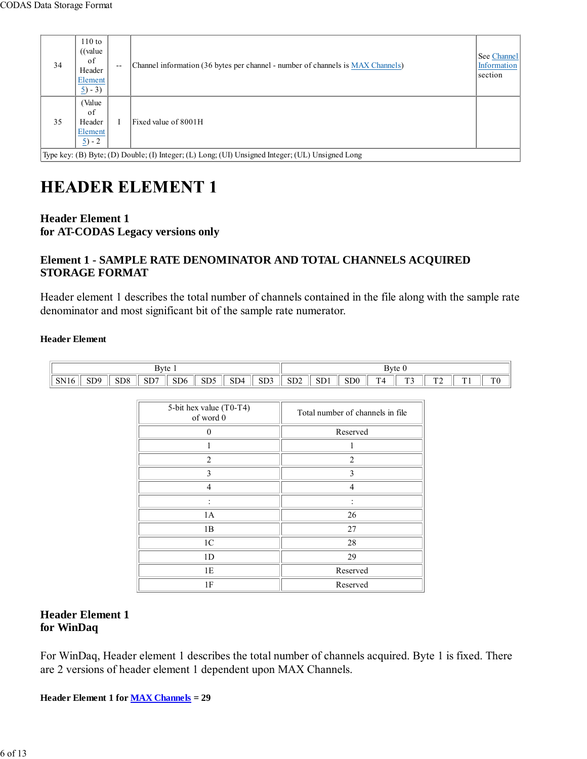| 34                                                                                               | $110$ to<br>((value<br>of<br>Header<br>Element  <br>$\underline{5}$ ) - 3) | $-$ | Channel information (36 bytes per channel - number of channels is MAX Channels) | See Channel<br>Information<br>section |  |  |  |  |  |  |
|--------------------------------------------------------------------------------------------------|----------------------------------------------------------------------------|-----|---------------------------------------------------------------------------------|---------------------------------------|--|--|--|--|--|--|
| 35                                                                                               | Value<br>of<br>Header<br>Element<br>$\frac{5}{2}$ - 2                      |     | Fixed value of 8001H                                                            |                                       |  |  |  |  |  |  |
| Type key: (B) Byte; (D) Double; (I) Integer; (L) Long; (UI) Unsigned Integer; (UL) Unsigned Long |                                                                            |     |                                                                                 |                                       |  |  |  |  |  |  |

# **HEADER ELEMENT 1**

#### **Header Element 1 for AT-CODAS Legacy versions only**

#### **Element 1 - SAMPLE RATE DENOMINATOR AND TOTAL CHANNELS ACQUIRED STORAGE FORMAT**

Header element 1 describes the total number of channels contained in the file along with the sample rate denominator and most significant bit of the sample rate numerator.

#### **Header Element**

|             | Byte            |                 |     |                 |                                               |                               |                               |                       | Byte 0                 |                 |             |                               |                     |                |                |
|-------------|-----------------|-----------------|-----|-----------------|-----------------------------------------------|-------------------------------|-------------------------------|-----------------------|------------------------|-----------------|-------------|-------------------------------|---------------------|----------------|----------------|
| <b>SN16</b> | SD <sub>9</sub> | SD <sub>8</sub> | SD7 | SD <sub>6</sub> | SD <sub>5</sub><br>the company of the company | SD <sub>4</sub><br>$\sim$ $-$ | SD <sub>3</sub><br>$\sim$ $-$ | SD <sub>2</sub><br>__ | CD <sub>1</sub><br>ועט | SD <sub>0</sub> | $\sim$<br>൧ | $\mathbf{u}$<br>. J<br>$\sim$ | $\mathbf{a}$<br>. . | $T = 4$<br>. . | T <sub>0</sub> |

| 5-bit hex value (T0-T4)<br>of word 0 | Total number of channels in file |
|--------------------------------------|----------------------------------|
| $\mathbf{0}$                         | Reserved                         |
|                                      |                                  |
| $\overline{2}$                       | $\overline{c}$                   |
| 3                                    | 3                                |
| Δ                                    | $\overline{4}$                   |
|                                      |                                  |
| 1A                                   | 26                               |
| 1B                                   | 27                               |
| 1 <sup>C</sup>                       | 28                               |
| 1 <sub>D</sub>                       | 29                               |
| 1E                                   | Reserved                         |
| 1F                                   | Reserved                         |

#### **Header Element 1 for WinDaq**

For WinDaq, Header element 1 describes the total number of channels acquired. Byte 1 is fixed. There are 2 versions of header element 1 dependent upon MAX Channels.

**Header Element 1 for MAX Channels = 29**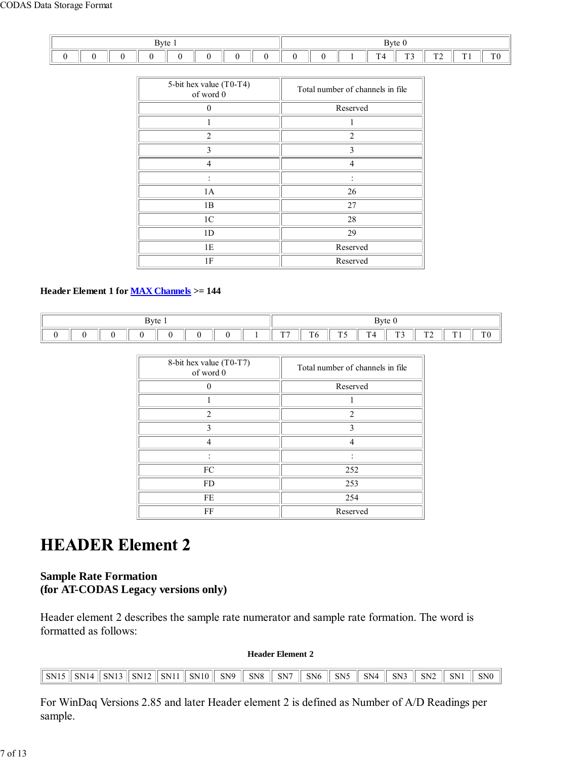| Byte 1 |  |  |  |  |  |  |  | Byte $0$ |  |  |                                 |                               |                     |              |                |
|--------|--|--|--|--|--|--|--|----------|--|--|---------------------------------|-------------------------------|---------------------|--------------|----------------|
|        |  |  |  |  |  |  |  |          |  |  | <b>CONTRACTOR</b><br>. .<br>. . | $\mathbf{m}$<br>. J<br>$\sim$ | $\mathbf{r}$<br>. . | ren i<br>. . | T <sub>0</sub> |

| 5-bit hex value (T0-T4)<br>of word 0 | Total number of channels in file |
|--------------------------------------|----------------------------------|
| 0                                    | Reserved                         |
|                                      |                                  |
| $\overline{c}$                       | $\overline{2}$                   |
| 3                                    | $\mathbf{3}$                     |
| 4                                    | $\overline{4}$                   |
|                                      |                                  |
| 1A                                   | 26                               |
| 1B                                   | 27                               |
| 1 <sup>C</sup>                       | 28                               |
| 1 <sub>D</sub>                       | 29                               |
| 1E                                   | Reserved                         |
| 1F                                   | Reserved                         |

#### **Header Element 1 for MAX Channels >= 144**

| Byte $\lceil$ |  |  |  |  |  |  | Byte $0$     |          |               |                               |                                |                                  |                     |                |
|---------------|--|--|--|--|--|--|--------------|----------|---------------|-------------------------------|--------------------------------|----------------------------------|---------------------|----------------|
|               |  |  |  |  |  |  | $T^{\prime}$ | T<br>1 V | $\sim$<br>1 J | <b>COL</b> 1<br>.<br>-<br>. . | $\mathbf{m}$<br>. . <i>. .</i> | $\mathbf{m}$ $\mathbf{a}$<br>. . | <b>100 A</b><br>. . | T <sub>0</sub> |

| 8-bit hex value (T0-T7)<br>of word 0 | Total number of channels in file |
|--------------------------------------|----------------------------------|
|                                      | Reserved                         |
|                                      |                                  |
| $\mathfrak{D}$                       | $\mathfrak{D}$                   |
| $\mathcal{L}$                        | $\mathbf{c}$                     |
|                                      |                                  |
|                                      |                                  |
| ${\rm FC}$                           | 252                              |
| <b>FD</b>                            | 253                              |
| FE                                   | 254                              |
| FF                                   | Reserved                         |

### **HEADER Element 2**

#### **Sample Rate Formation (for AT-CODAS Legacy versions only)**

Header element 2 describes the sample rate numerator and sample rate formation. The word is formatted as follows:

#### **Header Element 2**

| SN15 SN14 SN13 SN12 SN11 SN10 SN9 SN8 SN7 SN6 SN5 SN4 SN3 SN2 SN1 SN0 |  |  |  |  |  |  |  |
|-----------------------------------------------------------------------|--|--|--|--|--|--|--|

For WinDaq Versions 2.85 and later Header element 2 is defined as Number of A/D Readings per sample.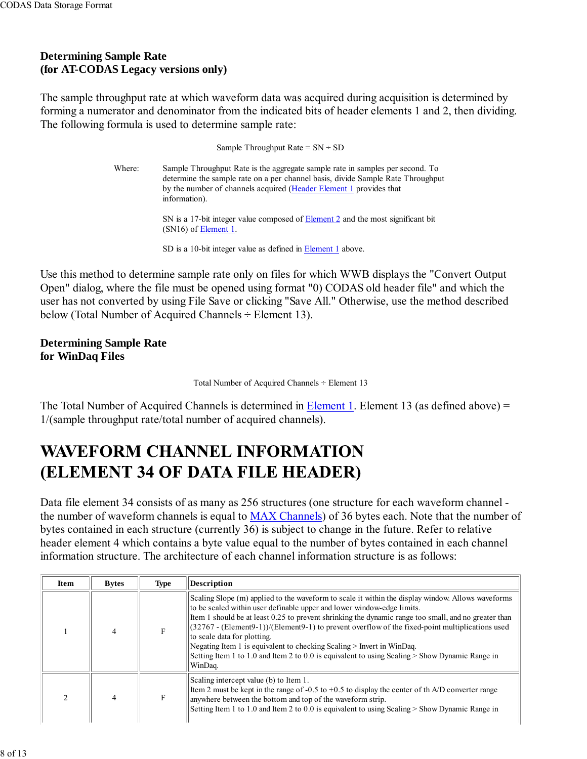#### **Determining Sample Rate (for AT-CODAS Legacy versions only)**

The sample throughput rate at which waveform data was acquired during acquisition is determined by forming a numerator and denominator from the indicated bits of header elements 1 and 2, then dividing. The following formula is used to determine sample rate:

> Sample Throughput Rate =  $SN \div SD$ Where: Sample Throughput Rate is the aggregate sample rate in samples per second. To determine the sample rate on a per channel basis, divide Sample Rate Throughput by the number of channels acquired (Header Element 1 provides that information). SN is a 17-bit integer value composed of **Element 2** and the most significant bit  $(SN16)$  of <u>Element 1</u>. SD is a 10-bit integer value as defined in Element 1 above.

Use this method to determine sample rate only on files for which WWB displays the "Convert Output Open" dialog, where the file must be opened using format "0) CODAS old header file" and which the user has not converted by using File Save or clicking "Save All." Otherwise, use the method described below (Total Number of Acquired Channels ÷ Element 13).

**Determining Sample Rate for WinDaq Files**

Total Number of Acquired Channels ÷ Element 13

The Total Number of Acquired Channels is determined in Element 1. Element 13 (as defined above) = 1/(sample throughput rate/total number of acquired channels).

# **WAVEFORM CHANNEL INFORMATION** (ELEMENT 34 OF DATA FILE HEADER)

Data file element 34 consists of as many as 256 structures (one structure for each waveform channel the number of waveform channels is equal to MAX Channels) of 36 bytes each. Note that the number of bytes contained in each structure (currently 36) is subject to change in the future. Refer to relative header element 4 which contains a byte value equal to the number of bytes contained in each channel information structure. The architecture of each channel information structure is as follows:

| <b>Item</b> | <b>Bytes</b> | <b>Type</b> | Description                                                                                                                                                                                                                                                                                                                                                                                                                                                                                                                                                                                                     |  |  |  |
|-------------|--------------|-------------|-----------------------------------------------------------------------------------------------------------------------------------------------------------------------------------------------------------------------------------------------------------------------------------------------------------------------------------------------------------------------------------------------------------------------------------------------------------------------------------------------------------------------------------------------------------------------------------------------------------------|--|--|--|
|             | 4            | F           | Scaling Slope (m) applied to the waveform to scale it within the display window. Allows waveforms<br>to be scaled within user definable upper and lower window-edge limits.<br>Item 1 should be at least 0.25 to prevent shrinking the dynamic range too small, and no greater than<br>$(32767 - (Element9-1))/(Element9-1)$ to prevent overflow of the fixed-point multiplications used<br>to scale data for plotting.<br>Negating Item 1 is equivalent to checking Scaling > Invert in WinDaq.<br>Setting Item 1 to 1.0 and Item 2 to 0.0 is equivalent to using Scaling $>$ Show Dynamic Range in<br>WinDag. |  |  |  |
|             | 4            | F           | Scaling intercept value (b) to Item 1.<br>Item 2 must be kept in the range of -0.5 to +0.5 to display the center of th A/D converter range<br>anywhere between the bottom and top of the waveform strip.<br>Setting Item 1 to 1.0 and Item 2 to 0.0 is equivalent to using Scaling $>$ Show Dynamic Range in                                                                                                                                                                                                                                                                                                    |  |  |  |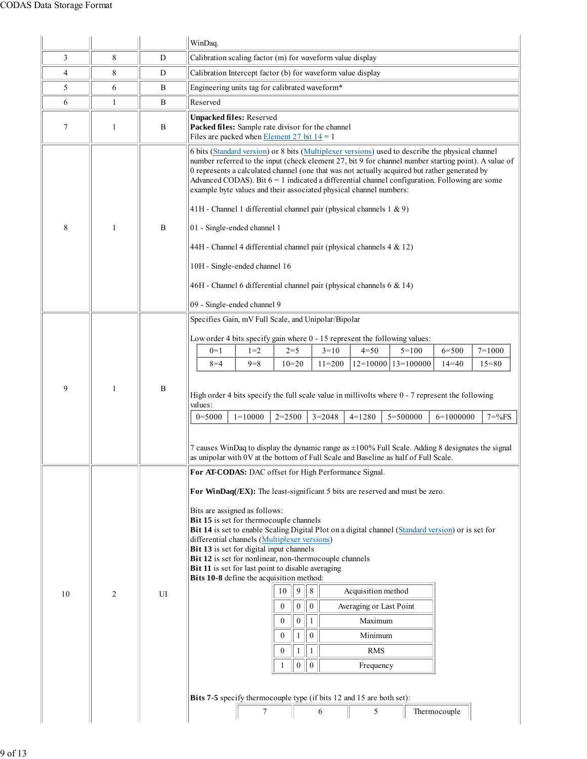|                |                |           | WinDaq.                                                                                                                                                                                                                                                                                                                                                                                                                                                                                                                                                                                                                                              |  |  |  |  |  |  |  |
|----------------|----------------|-----------|------------------------------------------------------------------------------------------------------------------------------------------------------------------------------------------------------------------------------------------------------------------------------------------------------------------------------------------------------------------------------------------------------------------------------------------------------------------------------------------------------------------------------------------------------------------------------------------------------------------------------------------------------|--|--|--|--|--|--|--|
| 3              | 8              | D         | Calibration scaling factor (m) for waveform value display                                                                                                                                                                                                                                                                                                                                                                                                                                                                                                                                                                                            |  |  |  |  |  |  |  |
| $\overline{4}$ | 8              | ${\bf D}$ | Calibration Intercept factor (b) for waveform value display                                                                                                                                                                                                                                                                                                                                                                                                                                                                                                                                                                                          |  |  |  |  |  |  |  |
| 5              | 6              | B         | Engineering units tag for calibrated waveform*                                                                                                                                                                                                                                                                                                                                                                                                                                                                                                                                                                                                       |  |  |  |  |  |  |  |
| 6              | $\mathbf{1}$   | B         | Reserved                                                                                                                                                                                                                                                                                                                                                                                                                                                                                                                                                                                                                                             |  |  |  |  |  |  |  |
| 7              | 1              | B         | <b>Unpacked files: Reserved</b><br>Packed files: Sample rate divisor for the channel<br>Files are packed when Element 27 bit $14 = 1$                                                                                                                                                                                                                                                                                                                                                                                                                                                                                                                |  |  |  |  |  |  |  |
| 8              | $\mathbf{1}$   | B         | 6 bits (Standard version) or 8 bits (Multiplexer versions) used to describe the physical channel<br>number referred to the input (check element 27, bit 9 for channel number starting point). A value of<br>0 represents a calculated channel (one that was not actually acquired but rather generated by<br>Advanced CODAS). Bit $6 = 1$ indicated a differential channel configuration. Following are some<br>example byte values and their associated physical channel numbers:<br>41H - Channel 1 differential channel pair (physical channels $1 \& 9$ )<br>01 - Single-ended channel 1                                                         |  |  |  |  |  |  |  |
|                |                |           | 44H - Channel 4 differential channel pair (physical channels 4 & 12)                                                                                                                                                                                                                                                                                                                                                                                                                                                                                                                                                                                 |  |  |  |  |  |  |  |
|                |                |           | 10H - Single-ended channel 16                                                                                                                                                                                                                                                                                                                                                                                                                                                                                                                                                                                                                        |  |  |  |  |  |  |  |
|                |                |           | 46H - Channel 6 differential channel pair (physical channels $6 \& 14$ )                                                                                                                                                                                                                                                                                                                                                                                                                                                                                                                                                                             |  |  |  |  |  |  |  |
|                |                |           |                                                                                                                                                                                                                                                                                                                                                                                                                                                                                                                                                                                                                                                      |  |  |  |  |  |  |  |
|                |                |           | 09 - Single-ended channel 9                                                                                                                                                                                                                                                                                                                                                                                                                                                                                                                                                                                                                          |  |  |  |  |  |  |  |
|                | 1              | B         | Specifies Gain, mV Full Scale, and Unipolar/Bipolar<br>Low order 4 bits specify gain where 0 - 15 represent the following values:<br>$4 = 50$<br>$7 = 1000$<br>$0=1$<br>$1 = 2$<br>$2 = 5$<br>$3=10$<br>$5 = 100$<br>$6 = 500$<br>$12=10000$   $13=100000$<br>$8 = 4$<br>$9 = 8$<br>$11 = 200$<br>$14 = 40$<br>$15 = 80$<br>$10=20$                                                                                                                                                                                                                                                                                                                  |  |  |  |  |  |  |  |
| 9              |                |           | High order 4 bits specify the full scale value in millivolts where 0 - 7 represent the following<br>values:<br>$1=10000$<br>$0 = 5000$<br>$2 = 2500$<br>$3=2048$<br>$4=1280$<br>$5 = 500000$<br>$6=1000000$<br>$7 = \%FS$                                                                                                                                                                                                                                                                                                                                                                                                                            |  |  |  |  |  |  |  |
|                |                |           | 7 causes WinDaq to display the dynamic range as $\pm 100\%$ Full Scale. Adding 8 designates the signal<br>as unipolar with 0V at the bottom of Full Scale and Baseline as half of Full Scale.                                                                                                                                                                                                                                                                                                                                                                                                                                                        |  |  |  |  |  |  |  |
|                |                |           | For AT-CODAS: DAC offset for High Performance Signal.                                                                                                                                                                                                                                                                                                                                                                                                                                                                                                                                                                                                |  |  |  |  |  |  |  |
| 10             | $\overline{2}$ | UI        | For WinDaq(/EX): The least-significant 5 bits are reserved and must be zero.<br>Bits are assigned as follows:<br>Bit 15 is set for thermocouple channels<br>Bit 14 is set to enable Scaling Digital Plot on a digital channel (Standard version) or is set for<br>differential channels (Multiplexer versions)<br>Bit 13 is set for digital input channels<br>Bit 12 is set for nonlinear, non-thermocouple channels<br>Bit 11 is set for last point to disable averaging<br>Bits 10-8 define the acquisition method:<br>$\,8\,$<br>9<br>Acquisition method<br>10<br>$\boldsymbol{0}$<br>$\boldsymbol{0}$<br>$\mathbf{0}$<br>Averaging or Last Point |  |  |  |  |  |  |  |
|                |                |           | $\boldsymbol{0}$<br>$\mathbf{1}$<br>$\mathbf{0}$<br>Maximum                                                                                                                                                                                                                                                                                                                                                                                                                                                                                                                                                                                          |  |  |  |  |  |  |  |
|                |                |           | $\boldsymbol{0}$<br>$\mathbf{0}$<br>Minimum<br>1                                                                                                                                                                                                                                                                                                                                                                                                                                                                                                                                                                                                     |  |  |  |  |  |  |  |
|                |                |           | $\mathbf{0}$<br>$\mathbf{1}$<br><b>RMS</b><br>1                                                                                                                                                                                                                                                                                                                                                                                                                                                                                                                                                                                                      |  |  |  |  |  |  |  |
|                |                |           | $\boldsymbol{0}$<br>$\boldsymbol{0}$<br>Frequency                                                                                                                                                                                                                                                                                                                                                                                                                                                                                                                                                                                                    |  |  |  |  |  |  |  |
|                |                |           | Bits 7-5 specify thermocouple type (if bits 12 and 15 are both set):<br>Thermocouple<br>5<br>7<br>6                                                                                                                                                                                                                                                                                                                                                                                                                                                                                                                                                  |  |  |  |  |  |  |  |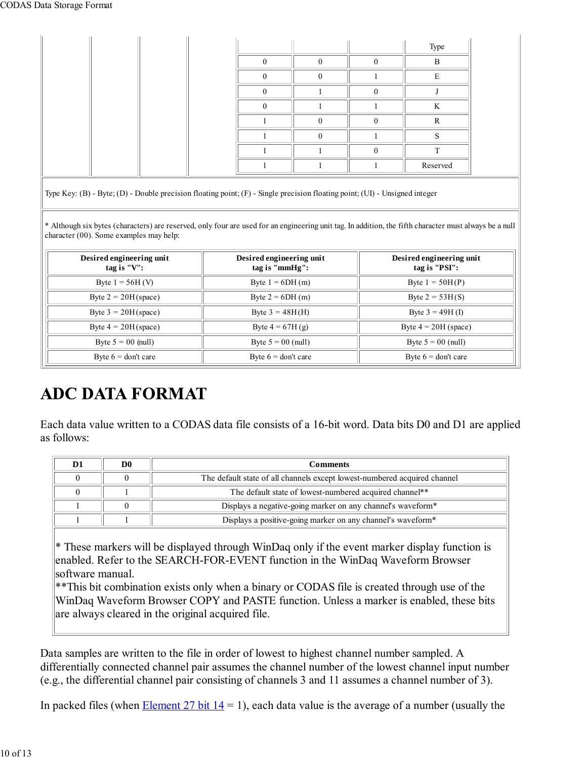|  |  |   |          |          | Type     |
|--|--|---|----------|----------|----------|
|  |  | ∩ | $\theta$ | $\Omega$ | B        |
|  |  |   | 0        |          | E        |
|  |  |   |          | $\Omega$ |          |
|  |  |   |          |          | K        |
|  |  |   | O        | $\Omega$ | R        |
|  |  |   | 0        |          | ⌒        |
|  |  |   |          | $\Omega$ | ᠇᠇       |
|  |  |   |          |          | Reserved |

Type Key: (B) - Byte; (D) - Double precision floating point; (F) - Single precision floating point; (UI) - Unsigned integer

\* Although six bytes (characters) are reserved, only four are used for an engineering unit tag. In addition, the fifth character must always be a null character (00). Some examples may help:

| Desired engineering unit<br>tag is "V": | Desired engineering unit<br>tag is " $mmHg$ ": | Desired engineering unit<br>tag is "PSI": |  |  |
|-----------------------------------------|------------------------------------------------|-------------------------------------------|--|--|
| Byte $1 = 56H$ (V)                      | Byte $1 = 6DH(m)$                              | Byte $1 = 50H(P)$                         |  |  |
| Byte $2 = 20H$ (space)                  | Byte $2 = 6DH(m)$                              | Byte $2 = 53H(S)$                         |  |  |
| Byte $3 = 20H$ (space)                  | Byte $3 = 48H(H)$                              | Byte $3 = 49H(I)$                         |  |  |
| Byte $4 = 20H$ (space)                  | Byte $4 = 67H(g)$                              | Byte $4 = 20H$ (space)                    |  |  |
| Byte $5 = 00$ (null)                    | Byte $5 = 00$ (null)                           | Byte $5 = 00$ (null)                      |  |  |
| Byte $6 =$ don't care                   | Byte $6 =$ don't care                          | Byte $6 =$ don't care                     |  |  |

# **ADC DATA FORMAT**

Each data value written to a CODAS data file consists of a 16-bit word. Data bits D0 and D1 are applied as follows:

| D0 | Comments                                                                  |
|----|---------------------------------------------------------------------------|
|    | The default state of all channels except lowest-numbered acquired channel |
|    | The default state of lowest-numbered acquired channel**                   |
|    | Displays a negative-going marker on any channel's waveform*               |
|    | Displays a positive-going marker on any channel's waveform*               |

 $*$  These markers will be displayed through WinDaq only if the event marker display function is enabled. Refer to the SEARCH-FOR-EVENT function in the WinDaq Waveform Browser software manual.

 $*$ This bit combination exists only when a binary or CODAS file is created through use of the WinDaq Waveform Browser COPY and PASTE function. Unless a marker is enabled, these bits are always cleared in the original acquired file.

Data samples are written to the file in order of lowest to highest channel number sampled. A differentially connected channel pair assumes the channel number of the lowest channel input number (e.g., the differential channel pair consisting of channels 3 and 11 assumes a channel number of 3).

In packed files (when Element 27 bit  $14 = 1$ ), each data value is the average of a number (usually the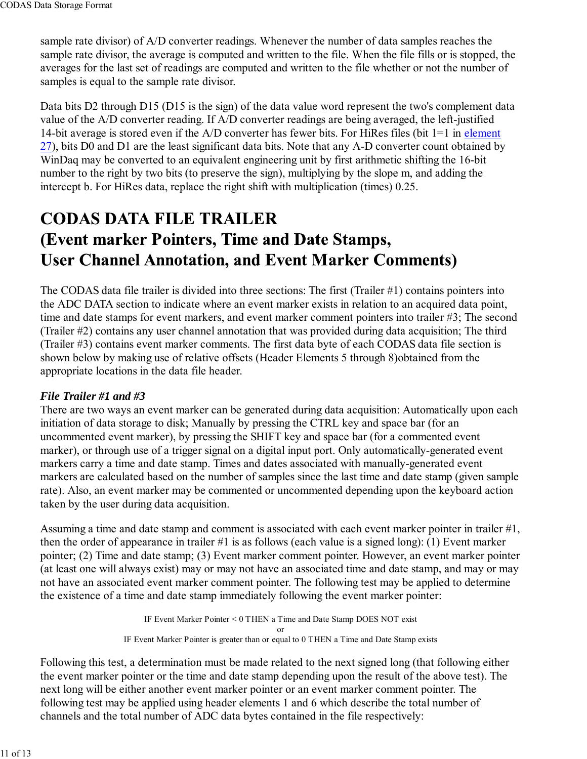sample rate divisor) of A/D converter readings. Whenever the number of data samples reaches the sample rate divisor, the average is computed and written to the file. When the file fills or is stopped, the averages for the last set of readings are computed and written to the file whether or not the number of samples is equal to the sample rate divisor.

Data bits D2 through D15 (D15 is the sign) of the data value word represent the two's complement data value of the A/D converter reading. If A/D converter readings are being averaged, the left-justified 14-bit average is stored even if the A/D converter has fewer bits. For HiRes files (bit 1=1 in element 27), bits D0 and D1 are the least significant data bits. Note that any A-D converter count obtained by WinDaq may be converted to an equivalent engineering unit by first arithmetic shifting the 16-bit number to the right by two bits (to preserve the sign), multiplying by the slope m, and adding the intercept b. For HiRes data, replace the right shift with multiplication (times) 0.25.

# **CODAS DATA FILE TRAILER** (Event marker Pointers, Time and Date Stamps, **User Channel Annotation, and Event Marker Comments)**

The CODAS data file trailer is divided into three sections: The first (Trailer #1) contains pointers into the ADC DATA section to indicate where an event marker exists in relation to an acquired data point, time and date stamps for event markers, and event marker comment pointers into trailer #3; The second (Trailer #2) contains any user channel annotation that was provided during data acquisition; The third (Trailer #3) contains event marker comments. The first data byte of each CODAS data file section is shown below by making use of relative offsets (Header Elements 5 through 8)obtained from the appropriate locations in the data file header.

#### *File Trailer #1 and #3*

There are two ways an event marker can be generated during data acquisition: Automatically upon each initiation of data storage to disk; Manually by pressing the CTRL key and space bar (for an uncommented event marker), by pressing the SHIFT key and space bar (for a commented event marker), or through use of a trigger signal on a digital input port. Only automatically-generated event markers carry a time and date stamp. Times and dates associated with manually-generated event markers are calculated based on the number of samples since the last time and date stamp (given sample rate). Also, an event marker may be commented or uncommented depending upon the keyboard action taken by the user during data acquisition.

Assuming a time and date stamp and comment is associated with each event marker pointer in trailer #1, then the order of appearance in trailer #1 is as follows (each value is a signed long): (1) Event marker pointer; (2) Time and date stamp; (3) Event marker comment pointer. However, an event marker pointer (at least one will always exist) may or may not have an associated time and date stamp, and may or may not have an associated event marker comment pointer. The following test may be applied to determine the existence of a time and date stamp immediately following the event marker pointer:

> IF Event Marker Pointer < 0 THEN a Time and Date Stamp DOES NOT exist or IF Event Marker Pointer is greater than or equal to 0 THEN a Time and Date Stamp exists

Following this test, a determination must be made related to the next signed long (that following either the event marker pointer or the time and date stamp depending upon the result of the above test). The next long will be either another event marker pointer or an event marker comment pointer. The following test may be applied using header elements 1 and 6 which describe the total number of channels and the total number of ADC data bytes contained in the file respectively: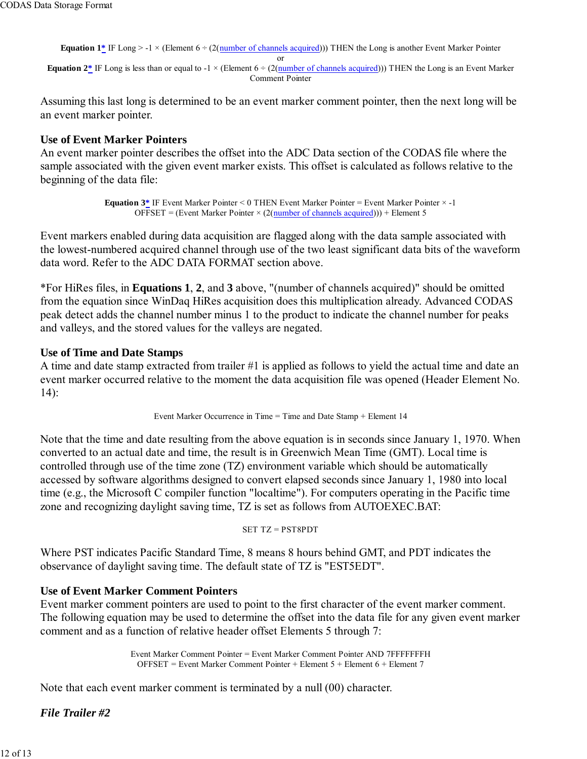**Equation 1\*** IF Long > -1  $\times$  (Element 6 ÷ (2(number of channels acquired))) THEN the Long is another Event Marker Pointer

or

**Equation 2\*** IF Long is less than or equal to  $-1 \times$  (Element  $6 \div (2(\text{number of channels acquired}))$ ) THEN the Long is an Event Marker Comment Pointer

Assuming this last long is determined to be an event marker comment pointer, then the next long will be an event marker pointer.

#### **Use of Event Marker Pointers**

An event marker pointer describes the offset into the ADC Data section of the CODAS file where the sample associated with the given event marker exists. This offset is calculated as follows relative to the beginning of the data file:

> **Equation 3\*** IF Event Marker Pointer < 0 THEN Event Marker Pointer = Event Marker Pointer × -1 OFFSET = (Event Marker Pointer  $\times$  (2(number of channels acquired))) + Element 5

Event markers enabled during data acquisition are flagged along with the data sample associated with the lowest-numbered acquired channel through use of the two least significant data bits of the waveform data word. Refer to the ADC DATA FORMAT section above.

\*For HiRes files, in **Equations 1**, **2**, and **3** above, "(number of channels acquired)" should be omitted from the equation since WinDaq HiRes acquisition does this multiplication already. Advanced CODAS peak detect adds the channel number minus 1 to the product to indicate the channel number for peaks and valleys, and the stored values for the valleys are negated.

#### **Use of Time and Date Stamps**

A time and date stamp extracted from trailer #1 is applied as follows to yield the actual time and date an event marker occurred relative to the moment the data acquisition file was opened (Header Element No. 14):

Event Marker Occurrence in Time = Time and Date Stamp + Element 14

Note that the time and date resulting from the above equation is in seconds since January 1, 1970. When converted to an actual date and time, the result is in Greenwich Mean Time (GMT). Local time is controlled through use of the time zone (TZ) environment variable which should be automatically accessed by software algorithms designed to convert elapsed seconds since January 1, 1980 into local time (e.g., the Microsoft C compiler function "localtime"). For computers operating in the Pacific time zone and recognizing daylight saving time, TZ is set as follows from AUTOEXEC.BAT:

SET TZ = PST8PDT

Where PST indicates Pacific Standard Time, 8 means 8 hours behind GMT, and PDT indicates the observance of daylight saving time. The default state of TZ is "EST5EDT".

#### **Use of Event Marker Comment Pointers**

Event marker comment pointers are used to point to the first character of the event marker comment. The following equation may be used to determine the offset into the data file for any given event marker comment and as a function of relative header offset Elements 5 through 7:

> Event Marker Comment Pointer = Event Marker Comment Pointer AND 7FFFFFFFH  $OFFSET = Event Market Comment Pointer + Element 5 + Element 6 + Element 7$

Note that each event marker comment is terminated by a null (00) character.

*File Trailer #2*